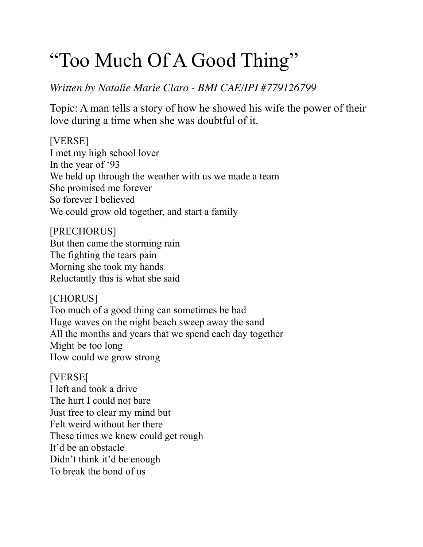# "Too Much Of A Good Thing"

## *Written by Natalie Marie Claro - BMI CAE/IPI #779126799*

Topic: A man tells a story of how he showed his wife the power of their love during a time when she was doubtful of it.

[VERSE] I met my high school lover In the year of '93 We held up through the weather with us we made a team She promised me forever So forever I believed We could grow old together, and start a family

[PRECHORUS] But then came the storming rain The fighting the tears pain Morning she took my hands Reluctantly this is what she said

[CHORUS] Too much of a good thing can sometimes be bad Huge waves on the night beach sweep away the sand All the months and years that we spend each day together Might be too long How could we grow strong

[VERSE[ I left and took a drive The hurt I could not bare Just free to clear my mind but Felt weird without her there These times we knew could get rough It'd be an obstacle Didn't think it'd be enough To break the bond of us